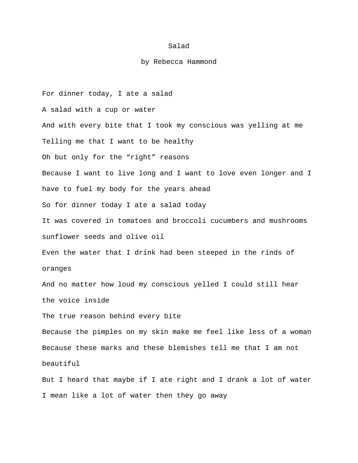## Salad

## by Rebecca Hammond

For dinner today, I ate a salad A salad with a cup or water And with every bite that I took my conscious was yelling at me Telling me that I want to be healthy Oh but only for the "right" reasons Because I want to live long and I want to love even longer and I have to fuel my body for the years ahead So for dinner today I ate a salad today It was covered in tomatoes and broccoli cucumbers and mushrooms sunflower seeds and olive oil Even the water that I drink had been steeped in the rinds of oranges And no matter how loud my conscious yelled I could still hear the voice inside The true reason behind every bite Because the pimples on my skin make me feel like less of a woman Because these marks and these blemishes tell me that I am not beautiful But I heard that maybe if I ate right and I drank a lot of water

I mean like a lot of water then they go away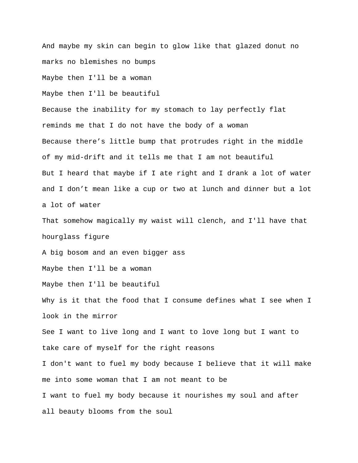And maybe my skin can begin to glow like that glazed donut no marks no blemishes no bumps

Maybe then I'll be a woman

Maybe then I'll be beautiful

Because the inability for my stomach to lay perfectly flat reminds me that I do not have the body of a woman Because there's little bump that protrudes right in the middle of my mid-drift and it tells me that I am not beautiful But I heard that maybe if I ate right and I drank a lot of water and I don't mean like a cup or two at lunch and dinner but a lot a lot of water

That somehow magically my waist will clench, and I'll have that hourglass figure

A big bosom and an even bigger ass

Maybe then I'll be a woman

Maybe then I'll be beautiful

Why is it that the food that I consume defines what I see when I look in the mirror

See I want to live long and I want to love long but I want to take care of myself for the right reasons

I don't want to fuel my body because I believe that it will make me into some woman that I am not meant to be I want to fuel my body because it nourishes my soul and after

all beauty blooms from the soul